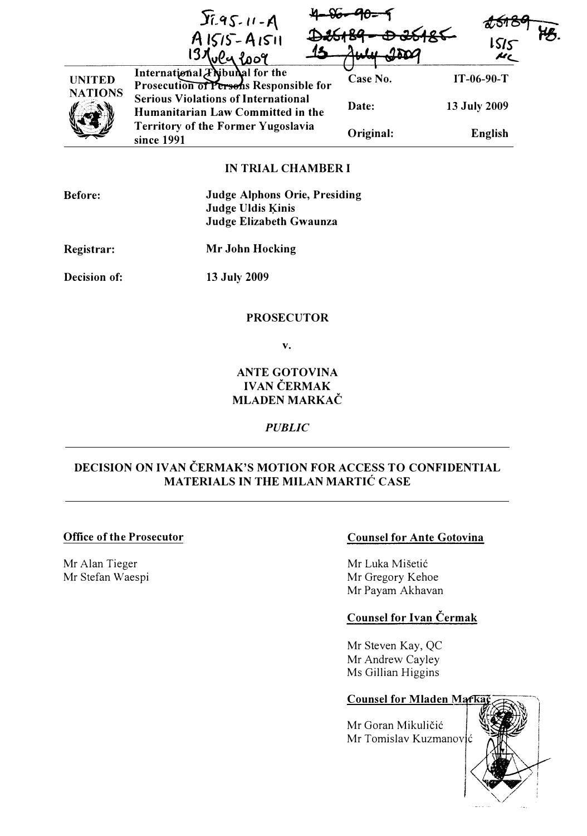|                                 | $36.95 - 11 - A$<br>$A1515 - A1511$<br>loog                                     | 2600<br>1000 | $\frac{1515}{125}$ |  |
|---------------------------------|---------------------------------------------------------------------------------|--------------|--------------------|--|
| <b>UNITED</b><br><b>NATIONS</b> | International <i>Thibural</i> for the<br>Prosecution of Persons Responsible for | Case No.     | $IT-06-90-T$       |  |
|                                 | <b>Serious Violations of International</b><br>Humanitarian Law Committed in the | Date:        | 13 July 2009       |  |
|                                 | <b>Territory of the Former Yugoslavia</b><br>since 1991                         | Original:    | <b>English</b>     |  |
|                                 |                                                                                 |              |                    |  |

# IN TRIAL CHAMBER I

| <b>Before:</b> | <b>Judge Alphons Orie, Presiding</b> |
|----------------|--------------------------------------|
|                | <b>Judge Uldis Kinis</b>             |
|                | Judge Elizabeth Gwaunza              |

Registrar:

Mr John Hocking

Decision of:

13 July 2009

#### PROSECUTOR

v.

## ANTE GOTOVINA IVAN ČERMAK MLADEN MARKAČ

### **PUBLIC**

# DECISION ON IVAN ČERMAK'S MOTION FOR ACCESS TO CONFIDENTIAL MATERIALS IN THE MILAN MARTIC CASE

### Office of the Prosecutor

Mr Alan Tieger Mr Stefan Waespi

## Counsel for Ante Gotovina

Mr Luka Mišetić Mr Gregory Kehoe Mr Payam Akhavan

## Counsel for Ivan Cermak

Mr Steven Kay, QC Mr Andrew Cayley Ms Gillian Higgins

### **Counsel for Mladen Marka**

Mr Goran Mikuličić Mr Tomislav Kuzmanović

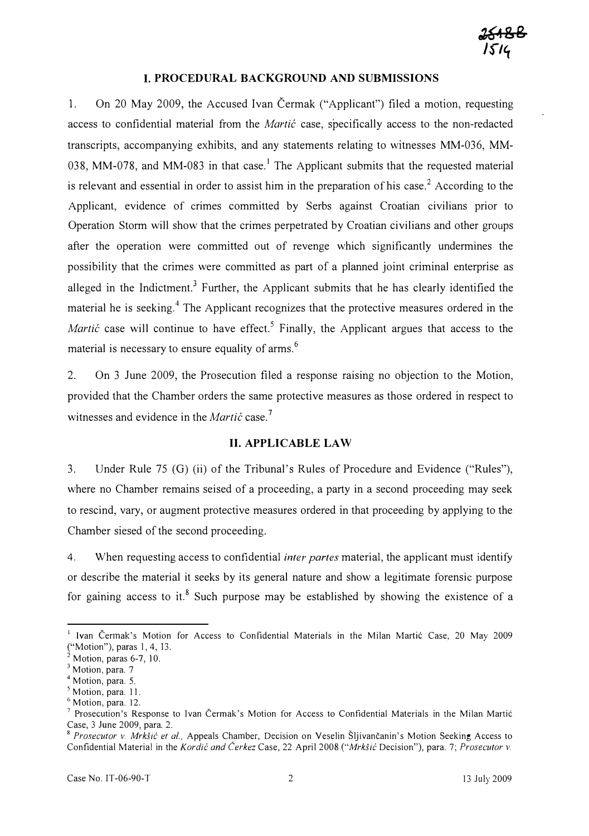#### I. PROCEDURAL BACKGROUND AND SUBMISSIONS

1. On 20 May 2009, the Accused Ivan Cermak ("Applicant") filed a motion, requesting access to confidential material from the *Martic* case, specifically access to the non-redacted transcripts, accompanying exhibits, and any statements relating to witnesses MM-036, MM-038, MM-078, and MM-083 in that case.<sup>1</sup> The Applicant submits that the requested material is relevant and essential in order to assist him in the preparation of his case.<sup>2</sup> According to the Applicant, evidence of crimes committed by Serbs against Croatian civilians prior to Operation Storm will show that the crimes perpetrated by Croatian civilians and other groups after the operation were committed out of revenge which significantly undermines the possibility that the crimes were committed as part of a planned joint criminal enterprise as alleged in the Indictment.<sup>3</sup> Further, the Applicant submits that he has clearly identified the material he is seeking.<sup>4</sup> The Applicant recognizes that the protective measures ordered in the *Martic* case will continue to have effect.<sup>5</sup> Finally, the Applicant argues that access to the material is necessary to ensure equality of arms.<sup>6</sup>

2. On 3 June 2009, the Prosecution filed a response raising no objection to the Motion, provided that the Chamber orders the same protective measures as those ordered in respect to witnesses and evidence in the *Martic* case.<sup>7</sup>

#### II. APPLICABLE LAW

3. Under Rule 75 (G) (ii) of the Tribunal's Rules of Procedure and Evidence ("Rules"), where no Chamber remains seised of a proceeding, a party in a second proceeding may seek to rescind, vary, or augment protective measures ordered in that proceeding by applying to the Chamber siesed of the second proceeding.

4. When requesting access to confidential *inter partes* material, the applicant must identify or describe the material it seeks by its general nature and show a legitimate forensic purpose for gaining access to it.<sup>8</sup> Such purpose may be established by showing the existence of a

<sup>&</sup>lt;sup>1</sup> Ivan Čermak's Motion for Access to Confidential Materials in the Milan Martić Case, 20 May 2009 ("Motion"), paras 1,4, 13.

Motion, paras 6-7, 10.

 $3$  Motion, para. 7

 $<sup>4</sup>$  Motion, para. 5.</sup>

<sup>&</sup>lt;sup>5</sup> Motion, para. 11.

 $6$  Motion, para. 12.

Prosecution's Response to Ivan Čermak's Motion for Access to Confidential Materials in the Milan Martic Case, 3 June 2009, para. 2.

<sup>&</sup>lt;sup>8</sup> Prosecutor v. Mrkšić et al., Appeals Chamber, Decision on Veselin Šljivančanin's Motion Seeking Access to Confidential Material in the Kordić and Čerkez Case, 22 April 2008 ("Mrkšić Decision"), para. 7; Prosecutor v.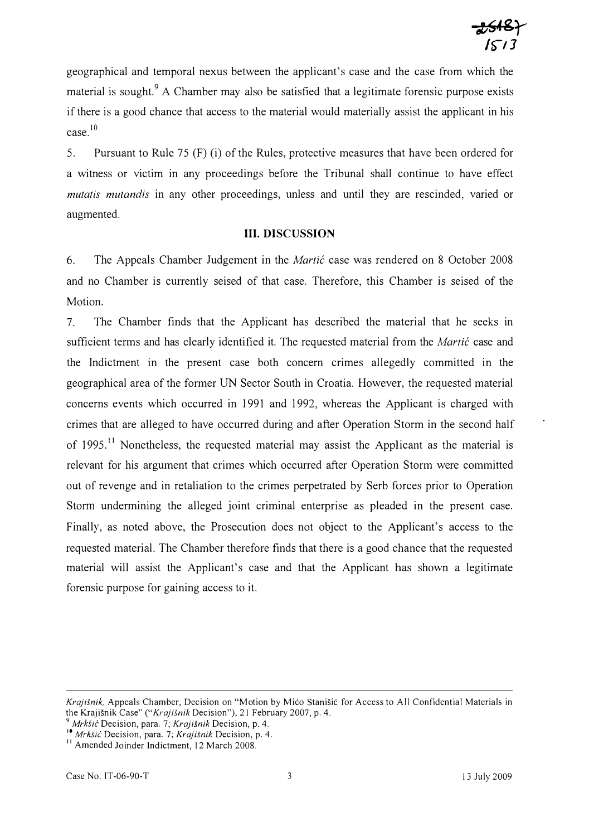geographical and temporal nexus between the applicant's case and the case from which the material is sought.<sup>9</sup> A Chamber may also be satisfied that a legitimate forensic purpose exists if there is a good chance that access to the material would materially assist the applicant in his case.IO

5. Pursuant to Rule 75 (F) (i) of the Rules, protective measures that have been ordered for a witness or victim in any proceedings before the Tribunal shall continue to have effect mutatis mutandis in any other proceedings, unless and until they are rescinded, varied or augmented.

## III. DISCUSSION

6. The Appeals Chamber Judgement in the *Martic* case was rendered on 8 October 2008 and no Chamber is currently seised of that case. Therefore, this Chamber is seised of the Motion.

7. The Chamber finds that the Applicant has described the material that he seeks in sufficient terms and has clearly identified it. The requested material from the Martic case and the Indictment in the present case both concern crimes allegedly committed in the geographical area of the former UN Sector South in Croatia. However, the requested material concerns events which occurred in 1991 and 1992, whereas the Applicant is charged with crimes that are alleged to have occurred during and after Operation Storm in the second half of 1995.<sup>11</sup> Nonetheless, the requested material may assist the Applicant as the material is relevant for his argument that crimes which occurred after Operation Storm were committed out of revenge and in retaliation to the crimes perpetrated by Serb forces prior to Operation Storm undermining the alleged joint criminal enterprise as pleaded in the present case. Finally, as noted above, the Prosecution does not object to the Applicant's access to the requested material. The Chamber therefore finds that there is a good chance that the requested material will assist the Applicant's case and that the Applicant has shown a legitimate forensic purpose for gaining access to it.

Krajisnik, Appeals Chamber, Decision on "Motion by Mico Stanisic for Access to All Confidential Materials in the Krajišnik Case" ("Krajišnik Decision"), 21 February 2007, p. 4.

 $\partial^3$  Mrkšić Decision, para. 7; Krajišnik Decision, p. 4.

<sup>&</sup>lt;sup>10</sup> Mrkšić Decision, para. 7; Krajišnik Decision, p. 4.

<sup>&</sup>lt;sup>11</sup> Amended Joinder Indictment, 12 March 2008.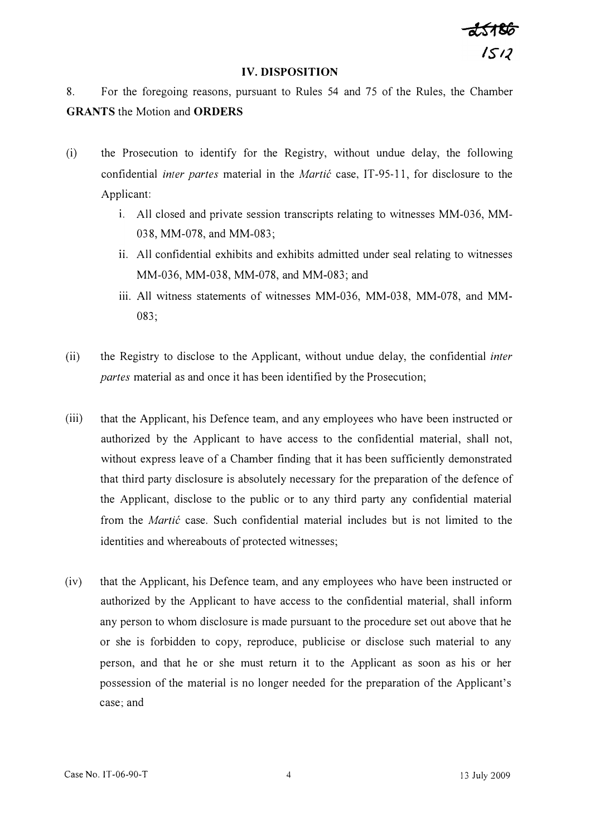$1512$ 

#### IV. DISPOSITION

8. For the foregoing reasons, pursuant to Rules 54 and 75 of the Rules, the Chamber GRANTS the Motion and ORDERS

- (i) the Prosecution to identify for the Registry, without undue delay, the following confidential *inter partes* material in the *Martic* case, IT-95-11, for disclosure to the Applicant:
	- 1. All closed and private session transcripts relating to witnesses MM-036, MM-038, MM-078, and MM-083;
	- i. All confidential exhibits and exhibits admitted under seal relating to witnesses MM-036, MM-038, MM-078, and MM-083; and
	- iii. All witness statements of witnesses MM-036, MM-038, MM-078, and MM-083;
- (ii) the Registry to disclose to the Applicant, without undue delay, the confidential inter partes material as and once it has been identified by the Prosecution;
- (iii) that the Applicant, his Defence team, and any employees who have been instructed or authorized by the Applicant to have access to the confidential material, shall not, without express leave of a Chamber finding that it has been sufficiently demonstrated that third party disclosure is absolutely necessary for the preparation of the defence of the Applicant, disclose to the public or to any third party any confidential material from the *Martić* case. Such confidential material includes but is not limited to the identities and whereabouts of protected witnesses;
- (iv) that the Applicant, his Defence team, and any employees who have been instructed or authorized by the Applicant to have access to the confidential material, shall inform any person to whom disclosure is made pursuant to the procedure set out above that he or she is forbidden to copy, reproduce, publicise or disclose such material to any person, and that he or she must return it to the Applicant as soon as his or her possession of the material is no longer needed for the preparation of the Applicant's case; and